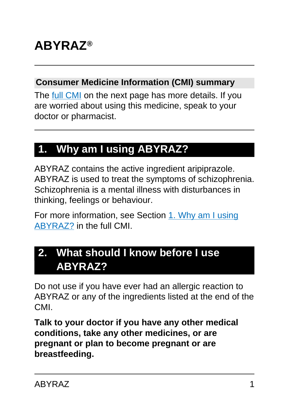# **ABYRAZ®**

#### **Consumer Medicine Information (CMI) summary**

The [full CMI](#page-4-0) on the next page has more details. If you are worried about using this medicine, speak to your doctor or pharmacist.

## **1. Why am I using ABYRAZ?**

ABYRAZ contains the active ingredient aripiprazole. ABYRAZ is used to treat the symptoms of schizophrenia. Schizophrenia is a mental illness with disturbances in thinking, feelings or behaviour.

For more information, see Section [1. Why am I using](#page-4-1) [ABYRAZ?](#page-4-1) in the full CMI.

## **2. What should I know before I use ABYRAZ?**

Do not use if you have ever had an allergic reaction to ABYRAZ or any of the ingredients listed at the end of the CMI.

**Talk to your doctor if you have any other medical conditions, take any other medicines, or are pregnant or plan to become pregnant or are breastfeeding.**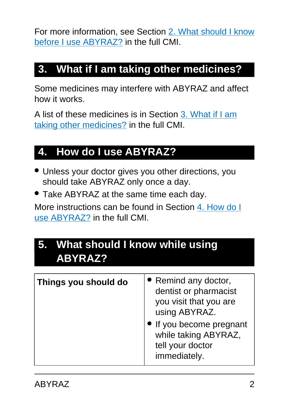For more information, see Section [2. What should I know](#page-5-0) [before I use ABYRAZ?](#page-5-0) in the full CMI.

## **3. What if I am taking other medicines?**

Some medicines may interfere with ABYRAZ and affect how it works.

A list of these medicines is in Section [3. What if I am](#page-8-0) [taking other medicines?](#page-8-0) in the full CMI.

## **4. How do I use ABYRAZ?**

- Unless your doctor gives you other directions, you should take ABYRAZ only once a day.
- Take ABYRAZ at the same time each day.

More instructions can be found in Section [4. How do I](#page-10-0) [use ABYRAZ?](#page-10-0) in the full CMI.

## **5. What should I know while using ABYRAZ?**

| Things you should do | • Remind any doctor,<br>dentist or pharmacist<br>you visit that you are<br>using ABYRAZ. |
|----------------------|------------------------------------------------------------------------------------------|
|                      | If you become pregnant<br>while taking ABYRAZ,<br>tell your doctor<br>immediately.       |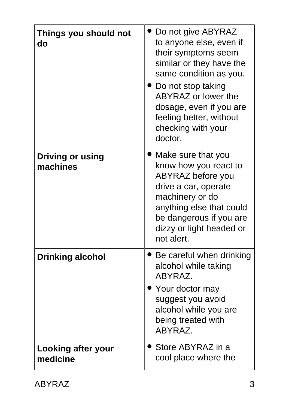| Things you should not<br>do         | Do not give ABYRAZ<br>to anyone else, even if<br>their symptoms seem<br>similar or they have the<br>same condition as you.<br>Do not stop taking<br>ABYRAZ or lower the<br>dosage, even if you are<br>feeling better, without<br>checking with your<br>doctor. |
|-------------------------------------|----------------------------------------------------------------------------------------------------------------------------------------------------------------------------------------------------------------------------------------------------------------|
| <b>Driving or using</b><br>machines | Make sure that you<br>know how you react to<br>ABYRAZ before you<br>drive a car, operate<br>machinery or do<br>anything else that could<br>be dangerous if you are<br>dizzy or light headed or<br>not alert                                                    |
| <b>Drinking alcohol</b>             | Be careful when drinking<br>alcohol while taking<br>ABYRAZ.<br>Your doctor may<br>suggest you avoid<br>alcohol while you are<br>being treated with<br>ABYRAZ.                                                                                                  |
| Looking after your<br>medicine      | ' Store ABYRAZ in a<br>cool place where the                                                                                                                                                                                                                    |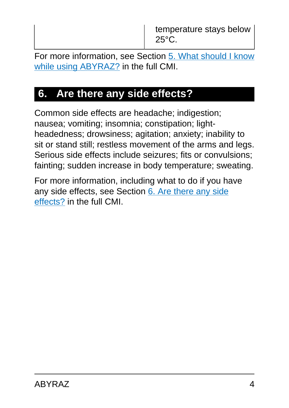temperature stays below 25°C.

For more information, see Section [5. What should I know](#page-12-0) [while using ABYRAZ?](#page-12-0) in the full CMI.

## **6. Are there any side effects?**

Common side effects are headache; indigestion; nausea; vomiting; insomnia; constipation; lightheadedness; drowsiness; agitation; anxiety; inability to sit or stand still; restless movement of the arms and legs. Serious side effects include seizures; fits or convulsions; fainting; sudden increase in body temperature; sweating.

For more information, including what to do if you have any side effects, see Section [6. Are there any side](#page-15-0) [effects?](#page-15-0) in the full CMI.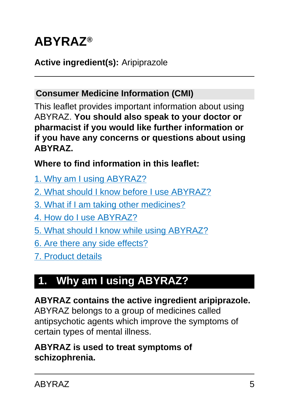# <span id="page-4-0"></span>**ABYRAZ®**

### **Active ingredient(s):** Aripiprazole

#### **Consumer Medicine Information (CMI)**

This leaflet provides important information about using ABYRAZ. **You should also speak to your doctor or pharmacist if you would like further information or if you have any concerns or questions about using ABYRAZ.**

**Where to find information in this leaflet:**

- [1. Why am I using ABYRAZ?](#page-4-1)
- [2. What should I know before I use ABYRAZ?](#page-5-0)
- [3. What if I am taking other medicines?](#page-8-0)
- [4. How do I use ABYRAZ?](#page-10-0)
- [5. What should I know while using ABYRAZ?](#page-12-0)
- [6. Are there any side effects?](#page-15-0)
- [7. Product details](#page-22-0)

## <span id="page-4-1"></span>**1. Why am I using ABYRAZ?**

**ABYRAZ contains the active ingredient aripiprazole.** ABYRAZ belongs to a group of medicines called antipsychotic agents which improve the symptoms of certain types of mental illness.

#### **ABYRAZ is used to treat symptoms of schizophrenia.**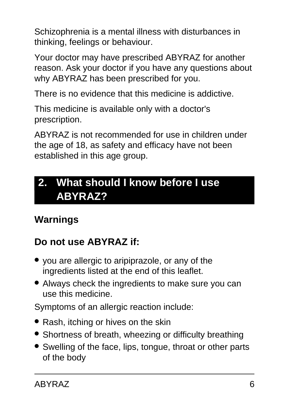Schizophrenia is a mental illness with disturbances in thinking, feelings or behaviour.

Your doctor may have prescribed ABYRAZ for another reason. Ask your doctor if you have any questions about why ABYRAZ has been prescribed for you.

There is no evidence that this medicine is addictive.

This medicine is available only with a doctor's prescription.

ABYRAZ is not recommended for use in children under the age of 18, as safety and efficacy have not been established in this age group.

## <span id="page-5-0"></span>**2. What should I know before I use ABYRAZ?**

## **Warnings**

### **Do not use ABYRAZ if:**

- you are allergic to aripiprazole, or any of the ingredients listed at the end of this leaflet.
- Always check the ingredients to make sure you can use this medicine.

Symptoms of an allergic reaction include:

- Rash, itching or hives on the skin
- Shortness of breath, wheezing or difficulty breathing
- Swelling of the face, lips, tongue, throat or other parts of the body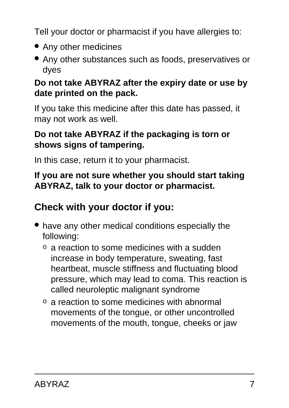Tell your doctor or pharmacist if you have allergies to:

- Any other medicines
- Any other substances such as foods, preservatives or dyes

#### **Do not take ABYRAZ after the expiry date or use by date printed on the pack.**

If you take this medicine after this date has passed, it may not work as well.

#### **Do not take ABYRAZ if the packaging is torn or shows signs of tampering.**

In this case, return it to your pharmacist.

#### **If you are not sure whether you should start taking ABYRAZ, talk to your doctor or pharmacist.**

### **Check with your doctor if you:**

- have any other medical conditions especially the following:
	- o a reaction to some medicines with a sudden increase in body temperature, sweating, fast heartbeat, muscle stiffness and fluctuating blood pressure, which may lead to coma. This reaction is called neuroleptic malignant syndrome
	- o a reaction to some medicines with abnormal movements of the tongue, or other uncontrolled movements of the mouth, tongue, cheeks or jaw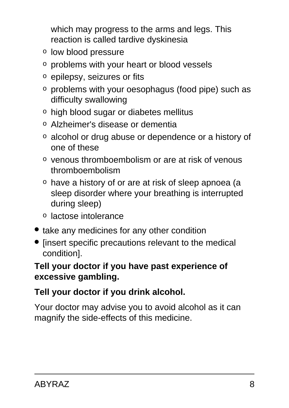which may progress to the arms and legs. This reaction is called tardive dyskinesia

- o low blood pressure
- o problems with your heart or blood vessels
- o epilepsy, seizures or fits
- o problems with your oesophagus (food pipe) such as difficulty swallowing
- o high blood sugar or diabetes mellitus
- o Alzheimer's disease or dementia
- o alcohol or drug abuse or dependence or a history of one of these
- o venous thromboembolism or are at risk of venous thromboembolism
- o have a history of or are at risk of sleep apnoea (a sleep disorder where your breathing is interrupted during sleep)
- o lactose intolerance
- take any medicines for any other condition
- [insert specific precautions relevant to the medical condition].

#### **Tell your doctor if you have past experience of excessive gambling.**

### **Tell your doctor if you drink alcohol.**

Your doctor may advise you to avoid alcohol as it can magnify the side-effects of this medicine.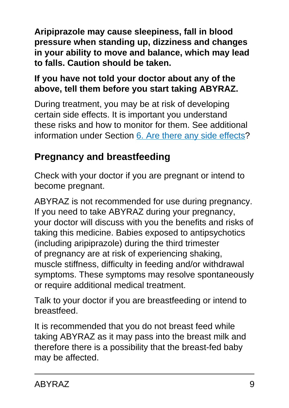**Aripiprazole may cause sleepiness, fall in blood pressure when standing up, dizziness and changes in your ability to move and balance, which may lead to falls. Caution should be taken.**

### **If you have not told your doctor about any of the above, tell them before you start taking ABYRAZ.**

During treatment, you may be at risk of developing certain side effects. It is important you understand these risks and how to monitor for them. See additional information under Section [6. Are there any side effects](#page-15-0)?

## **Pregnancy and breastfeeding**

Check with your doctor if you are pregnant or intend to become pregnant.

ABYRAZ is not recommended for use during pregnancy. If you need to take ABYRAZ during your pregnancy, your doctor will discuss with you the benefits and risks of taking this medicine. Babies exposed to antipsychotics (including aripiprazole) during the third trimester of pregnancy are at risk of experiencing shaking, muscle stiffness, difficulty in feeding and/or withdrawal symptoms. These symptoms may resolve spontaneously or require additional medical treatment.

Talk to your doctor if you are breastfeeding or intend to breastfeed.

<span id="page-8-0"></span>It is recommended that you do not breast feed while taking ABYRAZ as it may pass into the breast milk and therefore there is a possibility that the breast-fed baby may be affected.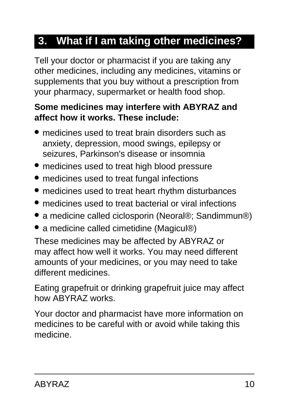## **3. What if I am taking other medicines?**

Tell your doctor or pharmacist if you are taking any other medicines, including any medicines, vitamins or supplements that you buy without a prescription from your pharmacy, supermarket or health food shop.

#### **Some medicines may interfere with ABYRAZ and affect how it works. These include:**

- medicines used to treat brain disorders such as anxiety, depression, mood swings, epilepsy or seizures, Parkinson's disease or insomnia
- medicines used to treat high blood pressure
- medicines used to treat fungal infections
- medicines used to treat heart rhythm disturbances
- medicines used to treat bacterial or viral infections
- a medicine called ciclosporin (Neoral®; Sandimmun®)
- a medicine called cimetidine (Magicul®)

These medicines may be affected by ABYRAZ or may affect how well it works. You may need different amounts of your medicines, or you may need to take different medicines.

Eating grapefruit or drinking grapefruit juice may affect how ABYRAZ works.

Your doctor and pharmacist have more information on medicines to be careful with or avoid while taking this medicine.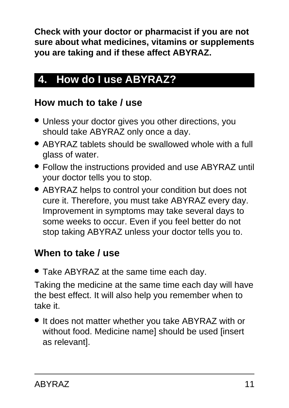**Check with your doctor or pharmacist if you are not sure about what medicines, vitamins or supplements you are taking and if these affect ABYRAZ.**

## <span id="page-10-0"></span>**4. How do I use ABYRAZ?**

### **How much to take / use**

- Unless your doctor gives you other directions, you should take ABYRAZ only once a day.
- ABYRAZ tablets should be swallowed whole with a full glass of water.
- Follow the instructions provided and use ABYRAZ until your doctor tells you to stop.
- ABYRAZ helps to control your condition but does not cure it. Therefore, you must take ABYRAZ every day. Improvement in symptoms may take several days to some weeks to occur. Even if you feel better do not stop taking ABYRAZ unless your doctor tells you to.

### **When to take / use**

• Take ABYRAZ at the same time each day.

Taking the medicine at the same time each day will have the best effect. It will also help you remember when to take it.

• It does not matter whether you take ABYRAZ with or without food. Medicine name] should be used [insert as relevant].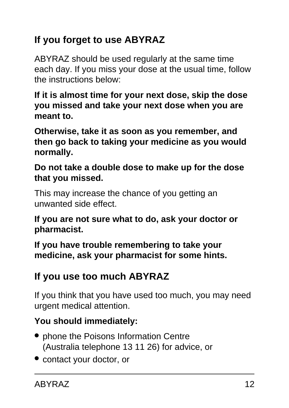## **If you forget to use ABYRAZ**

ABYRAZ should be used regularly at the same time each day. If you miss your dose at the usual time, follow the instructions below:

**If it is almost time for your next dose, skip the dose you missed and take your next dose when you are meant to.**

**Otherwise, take it as soon as you remember, and then go back to taking your medicine as you would normally.**

**Do not take a double dose to make up for the dose that you missed.**

This may increase the chance of you getting an unwanted side effect.

**If you are not sure what to do, ask your doctor or pharmacist.**

**If you have trouble remembering to take your medicine, ask your pharmacist for some hints.**

### **If you use too much ABYRAZ**

If you think that you have used too much, you may need urgent medical attention.

### **You should immediately:**

- phone the Poisons Information Centre (Australia telephone 13 11 26) for advice, or
- contact your doctor, or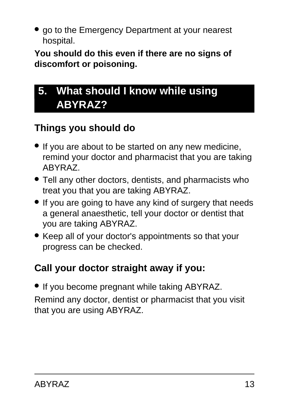• go to the Emergency Department at your nearest hospital.

**You should do this even if there are no signs of discomfort or poisoning.**

## <span id="page-12-0"></span>**5. What should I know while using ABYRAZ?**

### **Things you should do**

- If you are about to be started on any new medicine, remind your doctor and pharmacist that you are taking ABYRAZ.
- Tell any other doctors, dentists, and pharmacists who treat you that you are taking ABYRAZ.
- If you are going to have any kind of surgery that needs a general anaesthetic, tell your doctor or dentist that you are taking ABYRAZ.
- Keep all of your doctor's appointments so that your progress can be checked.

## **Call your doctor straight away if you:**

● If you become pregnant while taking ABYRAZ. Remind any doctor, dentist or pharmacist that you visit that you are using ABYRAZ.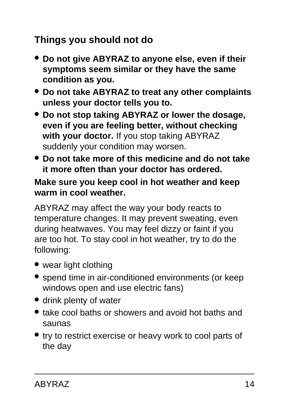### **Things you should not do**

- **Do not give ABYRAZ to anyone else, even if their symptoms seem similar or they have the same condition as you.**
- **Do not take ABYRAZ to treat any other complaints unless your doctor tells you to.**
- **Do not stop taking ABYRAZ or lower the dosage, even if you are feeling better, without checking with your doctor.** If you stop taking ABYRAZ suddenly your condition may worsen.
- **Do not take more of this medicine and do not take it more often than your doctor has ordered.**

#### **Make sure you keep cool in hot weather and keep warm in cool weather.**

ABYRAZ may affect the way your body reacts to temperature changes. It may prevent sweating, even during heatwaves. You may feel dizzy or faint if you are too hot. To stay cool in hot weather, try to do the following:

- wear light clothing
- spend time in air-conditioned environments (or keep windows open and use electric fans)
- drink plenty of water
- take cool baths or showers and avoid hot baths and saunas
- try to restrict exercise or heavy work to cool parts of the day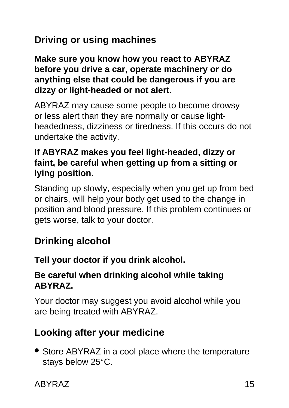## **Driving or using machines**

**Make sure you know how you react to ABYRAZ before you drive a car, operate machinery or do anything else that could be dangerous if you are dizzy or light-headed or not alert.**

ABYRAZ may cause some people to become drowsy or less alert than they are normally or cause lightheadedness, dizziness or tiredness. If this occurs do not undertake the activity.

#### **If ABYRAZ makes you feel light-headed, dizzy or faint, be careful when getting up from a sitting or lying position.**

Standing up slowly, especially when you get up from bed or chairs, will help your body get used to the change in position and blood pressure. If this problem continues or gets worse, talk to your doctor.

### **Drinking alcohol**

#### **Tell your doctor if you drink alcohol.**

#### **Be careful when drinking alcohol while taking ABYRAZ.**

Your doctor may suggest you avoid alcohol while you are being treated with ABYRAZ.

### **Looking after your medicine**

• Store ABYRAZ in a cool place where the temperature stays below 25°C.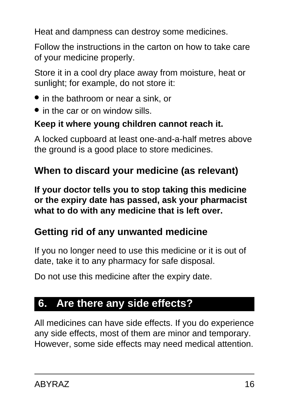Heat and dampness can destroy some medicines.

Follow the instructions in the carton on how to take care of your medicine properly.

Store it in a cool dry place away from moisture, heat or sunlight; for example, do not store it:

- in the bathroom or near a sink, or
- in the car or on window sills.

### **Keep it where young children cannot reach it.**

A locked cupboard at least one-and-a-half metres above the ground is a good place to store medicines.

## **When to discard your medicine (as relevant)**

**If your doctor tells you to stop taking this medicine or the expiry date has passed, ask your pharmacist what to do with any medicine that is left over.**

### **Getting rid of any unwanted medicine**

If you no longer need to use this medicine or it is out of date, take it to any pharmacy for safe disposal.

Do not use this medicine after the expiry date.

## <span id="page-15-0"></span>**6. Are there any side effects?**

All medicines can have side effects. If you do experience any side effects, most of them are minor and temporary. However, some side effects may need medical attention.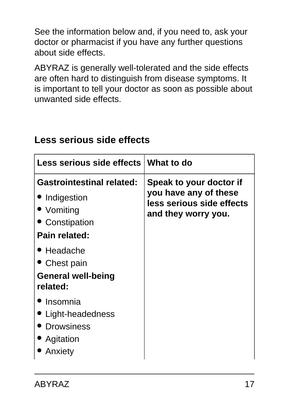See the information below and, if you need to, ask your doctor or pharmacist if you have any further questions about side effects.

ABYRAZ is generally well-tolerated and the side effects are often hard to distinguish from disease symptoms. It is important to tell your doctor as soon as possible about unwanted side effects.

| Less serious side effects What to do                                                               |                                                                                                      |
|----------------------------------------------------------------------------------------------------|------------------------------------------------------------------------------------------------------|
| <b>Gastrointestinal related:</b><br>• Indigestion<br>• Vomiting<br>• Constipation<br>Pain related: | Speak to your doctor if<br>you have any of these<br>less serious side effects<br>and they worry you. |
| $\bullet$ Headache<br>Chest pain<br><b>General well-being</b><br>related:                          |                                                                                                      |
| Insomnia<br>Light-headedness<br><b>Drowsiness</b><br>Agitation<br>Anxiety                          |                                                                                                      |

### **Less serious side effects**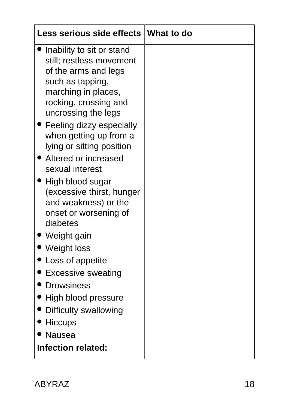| Less serious side effects   What to do                                                                                                                                                                                                                                                                                                                                                                                                                                                                                                                                                                                                              |  |
|-----------------------------------------------------------------------------------------------------------------------------------------------------------------------------------------------------------------------------------------------------------------------------------------------------------------------------------------------------------------------------------------------------------------------------------------------------------------------------------------------------------------------------------------------------------------------------------------------------------------------------------------------------|--|
| Inability to sit or stand<br>still; restless movement<br>of the arms and legs<br>such as tapping,<br>marching in places,<br>rocking, crossing and<br>uncrossing the legs<br>• Feeling dizzy especially<br>when getting up from a<br>lying or sitting position<br>• Altered or increased<br>sexual interest<br>$\bullet$ High blood sugar<br>(excessive thirst, hunger<br>and weakness) or the<br>onset or worsening of<br>diabetes<br>' Weight gain<br>• Weight loss<br>Loss of appetite<br><b>Excessive sweating</b><br><b>Drowsiness</b><br>High blood pressure<br>Difficulty swallowing<br><b>Hiccups</b><br><b>Nausea</b><br>Infection related: |  |
|                                                                                                                                                                                                                                                                                                                                                                                                                                                                                                                                                                                                                                                     |  |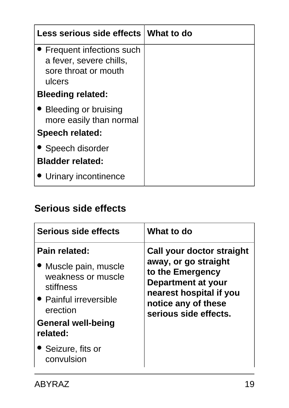| Less serious side effects What to do                                                    |  |
|-----------------------------------------------------------------------------------------|--|
| • Frequent infections such<br>a fever, severe chills,<br>sore throat or mouth<br>ulcers |  |
| <b>Bleeding related:</b>                                                                |  |
| • Bleeding or bruising<br>more easily than normal                                       |  |
| <b>Speech related:</b>                                                                  |  |
| • Speech disorder<br><b>Bladder related:</b>                                            |  |
| • Urinary incontinence                                                                  |  |

### **Serious side effects**

| Serious side effects                                                                                                                                                                         | What to do                                                                                                                                                             |
|----------------------------------------------------------------------------------------------------------------------------------------------------------------------------------------------|------------------------------------------------------------------------------------------------------------------------------------------------------------------------|
| Pain related:<br>• Muscle pain, muscle<br>weakness or muscle<br>stiffness<br>• Painful irreversible<br>erection<br><b>General well-being</b><br>related:<br>• Seizure, fits or<br>convulsion | Call your doctor straight<br>away, or go straight<br>to the Emergency<br>Department at your<br>nearest hospital if you<br>notice any of these<br>serious side effects. |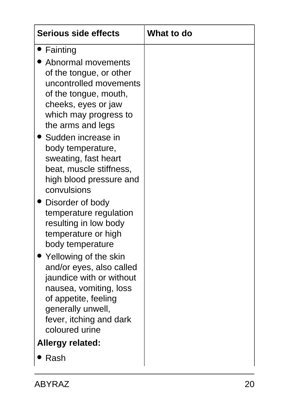| <b>Serious side effects</b>                                                                                                                                                                                                                                                                                                                                                                                                                                                                                                                                                                                                                                                                                   | <b>What to do</b> |
|---------------------------------------------------------------------------------------------------------------------------------------------------------------------------------------------------------------------------------------------------------------------------------------------------------------------------------------------------------------------------------------------------------------------------------------------------------------------------------------------------------------------------------------------------------------------------------------------------------------------------------------------------------------------------------------------------------------|-------------------|
| • Fainting<br>Abnormal movements<br>of the tongue, or other<br>uncontrolled movements<br>of the tongue, mouth,<br>cheeks, eyes or jaw<br>which may progress to<br>the arms and legs<br>▶ Sudden increase in<br>body temperature,<br>sweating, fast heart<br>beat, muscle stiffness,<br>high blood pressure and<br>convulsions<br>Disorder of body<br>temperature regulation<br>resulting in low body<br>temperature or high<br>body temperature<br>$\blacktriangleright$ Yellowing of the skin<br>and/or eyes, also called<br>jaundice with or without<br>nausea, vomiting, loss<br>of appetite, feeling<br>generally unwell,<br>fever, itching and dark<br>coloured urine<br><b>Allergy related:</b><br>Rash |                   |
|                                                                                                                                                                                                                                                                                                                                                                                                                                                                                                                                                                                                                                                                                                               |                   |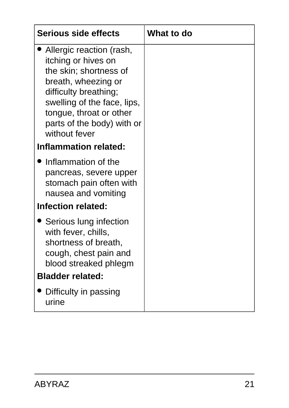| <b>Serious side effects</b>                                                                                                                                                                                                        | What to do |
|------------------------------------------------------------------------------------------------------------------------------------------------------------------------------------------------------------------------------------|------------|
| Allergic reaction (rash,<br>itching or hives on<br>the skin; shortness of<br>breath, wheezing or<br>difficulty breathing;<br>swelling of the face, lips,<br>tongue, throat or other<br>parts of the body) with or<br>without fever |            |
| <b>Inflammation related:</b>                                                                                                                                                                                                       |            |
| • Inflammation of the<br>pancreas, severe upper<br>stomach pain often with<br>nausea and vomiting                                                                                                                                  |            |
| <b>Infection related:</b>                                                                                                                                                                                                          |            |
| • Serious lung infection<br>with fever, chills,<br>shortness of breath,<br>cough, chest pain and<br>blood streaked phlegm<br><b>Bladder related:</b>                                                                               |            |
|                                                                                                                                                                                                                                    |            |
| Difficulty in passing<br>urine                                                                                                                                                                                                     |            |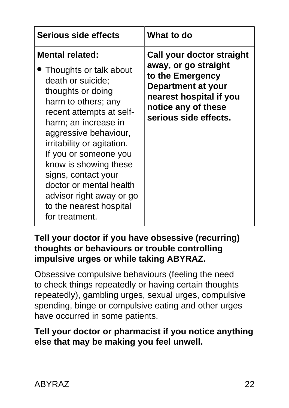| <b>Serious side effects</b>                                                                                                                                                                                                                                                                                                                                                                               | What to do                                                                                                                                                             |
|-----------------------------------------------------------------------------------------------------------------------------------------------------------------------------------------------------------------------------------------------------------------------------------------------------------------------------------------------------------------------------------------------------------|------------------------------------------------------------------------------------------------------------------------------------------------------------------------|
| <b>Mental related:</b><br>Thoughts or talk about<br>death or suicide;<br>thoughts or doing<br>harm to others; any<br>recent attempts at self-<br>harm; an increase in<br>aggressive behaviour,<br>irritability or agitation.<br>If you or someone you<br>know is showing these<br>signs, contact your<br>doctor or mental health<br>advisor right away or go<br>to the nearest hospital<br>for treatment. | Call your doctor straight<br>away, or go straight<br>to the Emergency<br>Department at your<br>nearest hospital if you<br>notice any of these<br>serious side effects. |

#### **Tell your doctor if you have obsessive (recurring) thoughts or behaviours or trouble controlling impulsive urges or while taking ABYRAZ.**

Obsessive compulsive behaviours (feeling the need to check things repeatedly or having certain thoughts repeatedly), gambling urges, sexual urges, compulsive spending, binge or compulsive eating and other urges have occurred in some patients.

### **Tell your doctor or pharmacist if you notice anything else that may be making you feel unwell.**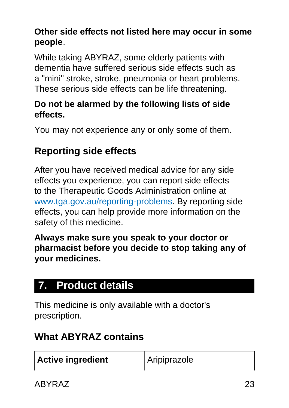### **Other side effects not listed here may occur in some people**.

While taking ABYRAZ, some elderly patients with dementia have suffered serious side effects such as a "mini" stroke, stroke, pneumonia or heart problems. These serious side effects can be life threatening.

#### **Do not be alarmed by the following lists of side effects.**

You may not experience any or only some of them.

## **Reporting side effects**

After you have received medical advice for any side effects you experience, you can report side effects to the Therapeutic Goods Administration online at [www.tga.gov.au/reporting-problems.](http://www.tga.gov.au/reporting-problems) By reporting side effects, you can help provide more information on the safety of this medicine.

**Always make sure you speak to your doctor or pharmacist before you decide to stop taking any of your medicines.**

## <span id="page-22-0"></span>**7. Product details**

This medicine is only available with a doctor's prescription.

### **What ABYRAZ contains**

| <b>Active ingredient</b> | Aripiprazole |
|--------------------------|--------------|
|--------------------------|--------------|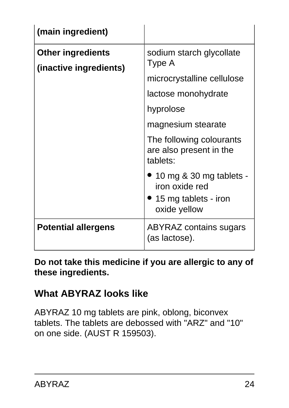| (main ingredient)                                  |                                                                                                                            |
|----------------------------------------------------|----------------------------------------------------------------------------------------------------------------------------|
| <b>Other ingredients</b><br>(inactive ingredients) | sodium starch glycollate<br>Type A<br>microcrystalline cellulose<br>lactose monohydrate<br>hyprolose<br>magnesium stearate |
|                                                    | The following colourants<br>are also present in the<br>tablets:                                                            |
|                                                    | 10 mg & 30 mg tablets -<br>iron oxide red<br>• 15 mg tablets - iron<br>oxide yellow                                        |
| <b>Potential allergens</b>                         | <b>ABYRAZ contains sugars</b><br>(as lactose).                                                                             |

**Do not take this medicine if you are allergic to any of these ingredients.**

### **What ABYRAZ looks like**

ABYRAZ 10 mg tablets are pink, oblong, biconvex tablets. The tablets are debossed with "ARZ" and "10" on one side. (AUST R 159503).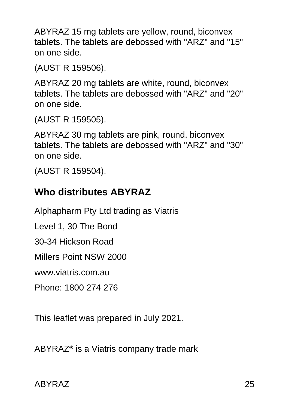ABYRAZ 15 mg tablets are yellow, round, biconvex tablets. The tablets are debossed with "ARZ" and "15" on one side.

(AUST R 159506).

ABYRAZ 20 mg tablets are white, round, biconvex tablets. The tablets are debossed with "ARZ" and "20" on one side.

(AUST R 159505).

ABYRAZ 30 mg tablets are pink, round, biconvex tablets. The tablets are debossed with "ARZ" and "30" on one side.

(AUST R 159504).

### **Who distributes ABYRAZ**

Alphapharm Pty Ltd trading as Viatris

Level 1, 30 The Bond

30-34 Hickson Road

Millers Point NSW 2000

www.viatris.com.au

Phone: 1800 274 276

This leaflet was prepared in July 2021.

ABYRAZ**®** is a Viatris company trade mark